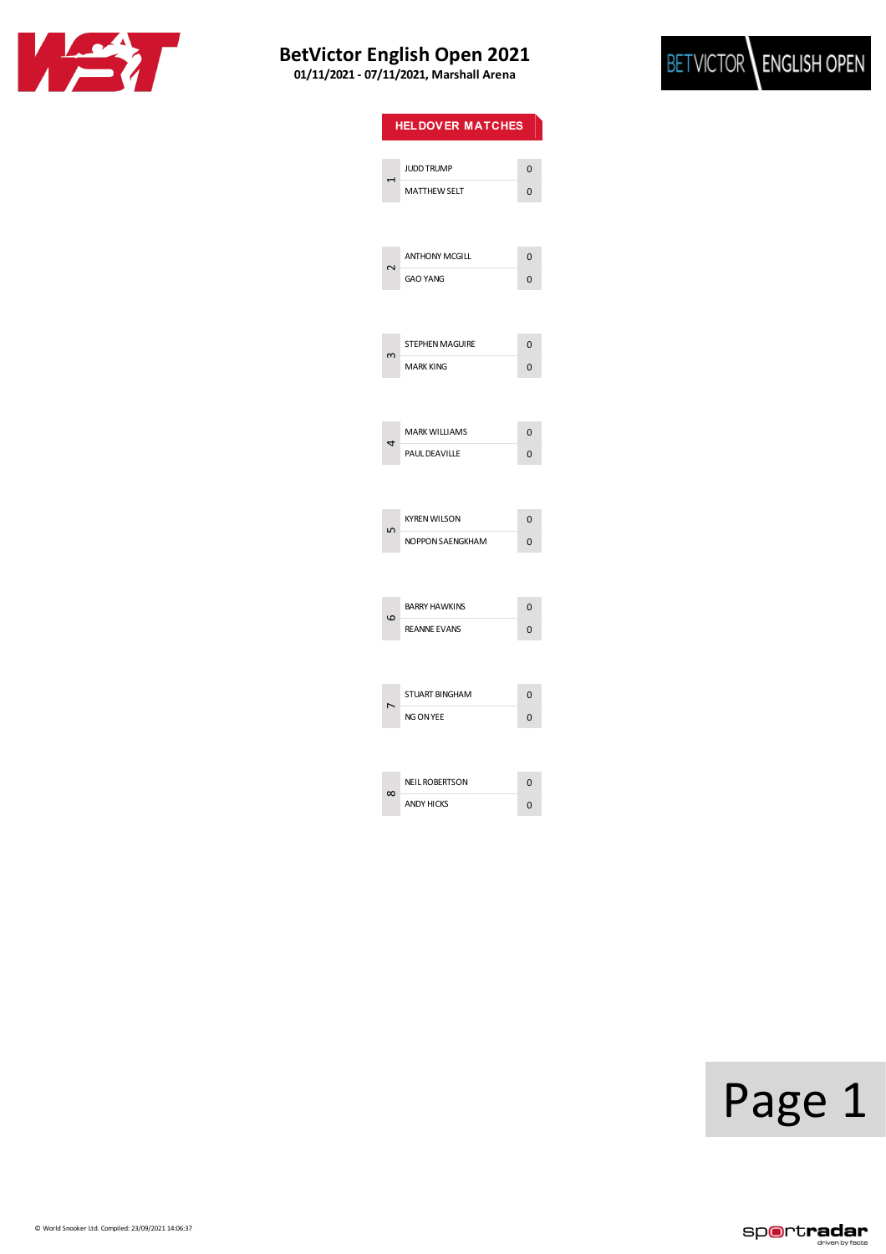



| <b>HELDOVER MATCHES</b> |                        |                |  |
|-------------------------|------------------------|----------------|--|
|                         |                        |                |  |
|                         | <b>JUDD TRUMP</b>      | $\overline{0}$ |  |
|                         | <b>MATTHEW SELT</b>    | 0              |  |
|                         |                        |                |  |
|                         |                        |                |  |
| J                       | <b>ANTHONY MCGILL</b>  | $\overline{0}$ |  |
|                         | <b>GAO YANG</b>        | 0              |  |
|                         |                        |                |  |
|                         | <b>STEPHEN MAGUIRE</b> | $\Omega$       |  |
|                         | <b>MARK KING</b>       | 0              |  |
|                         |                        |                |  |
|                         |                        |                |  |
| 4                       | <b>MARK WILLIAMS</b>   | $\overline{0}$ |  |
|                         | PAUL DEAVILLE          | 0              |  |
|                         |                        |                |  |
|                         |                        |                |  |
| Ω                       | <b>KYREN WILSON</b>    | $\mathbf{0}$   |  |
|                         | NOPPON SAENGKHAM       | 0              |  |
|                         |                        |                |  |
|                         |                        |                |  |
| 6                       | <b>BARRY HAWKINS</b>   | $\overline{0}$ |  |
|                         | <b>REANNE EVANS</b>    | 0              |  |
|                         |                        |                |  |
|                         |                        |                |  |
|                         | STUART BINGHAM         | 0              |  |
|                         | NG ON YEE              | 0              |  |
|                         |                        |                |  |
| $\infty$                | <b>NEIL ROBERTSON</b>  | 0              |  |
|                         | <b>ANDY HICKS</b>      | 0              |  |
|                         |                        |                |  |

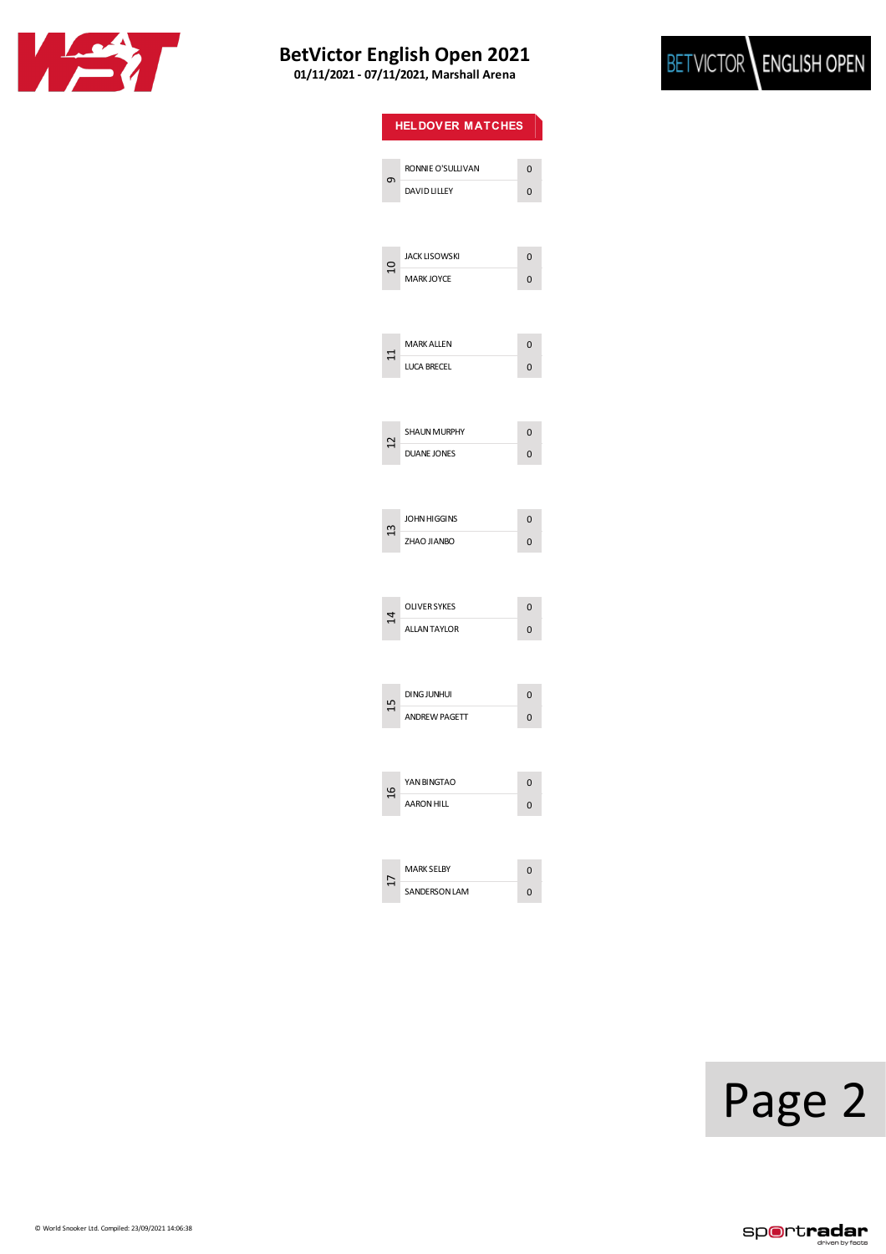



| <b>HELDOVER MATCHES</b> |                      |   |
|-------------------------|----------------------|---|
|                         | RONNIE O'SULLIVAN    | 0 |
| ٥                       | DAVID LILLEY         | 0 |
|                         |                      |   |
| 으                       | <b>JACK LISOWSKI</b> | 0 |
|                         | <b>MARK JOYCE</b>    | 0 |
|                         |                      |   |
|                         | <b>MARK ALLEN</b>    | 0 |
|                         | <b>LUCA BRECEL</b>   | 0 |
|                         |                      |   |
| ⊴                       | <b>SHAUN MURPHY</b>  | 0 |
|                         | <b>DUANE JONES</b>   | 0 |
|                         |                      |   |
| $\mathfrak{u}$          | JOHN HIGGINS         | 0 |
|                         | ZHAO JIANBO          | 0 |
|                         |                      |   |
| 4                       | OLIVER SYKES         | 0 |
|                         | <b>ALLANTAYLOR</b>   | 0 |
|                         |                      |   |
|                         | <b>DING JUNHUI</b>   | 0 |
|                         | <b>ANDREW PAGETT</b> | 0 |
|                         |                      |   |
| $\frac{6}{1}$           | YAN BINGTAO          | O |
|                         | <b>AARON HILL</b>    | 0 |
|                         |                      |   |
|                         | <b>MARK SELBY</b>    | 0 |
|                         | <b>SANDERSON LAM</b> | 0 |

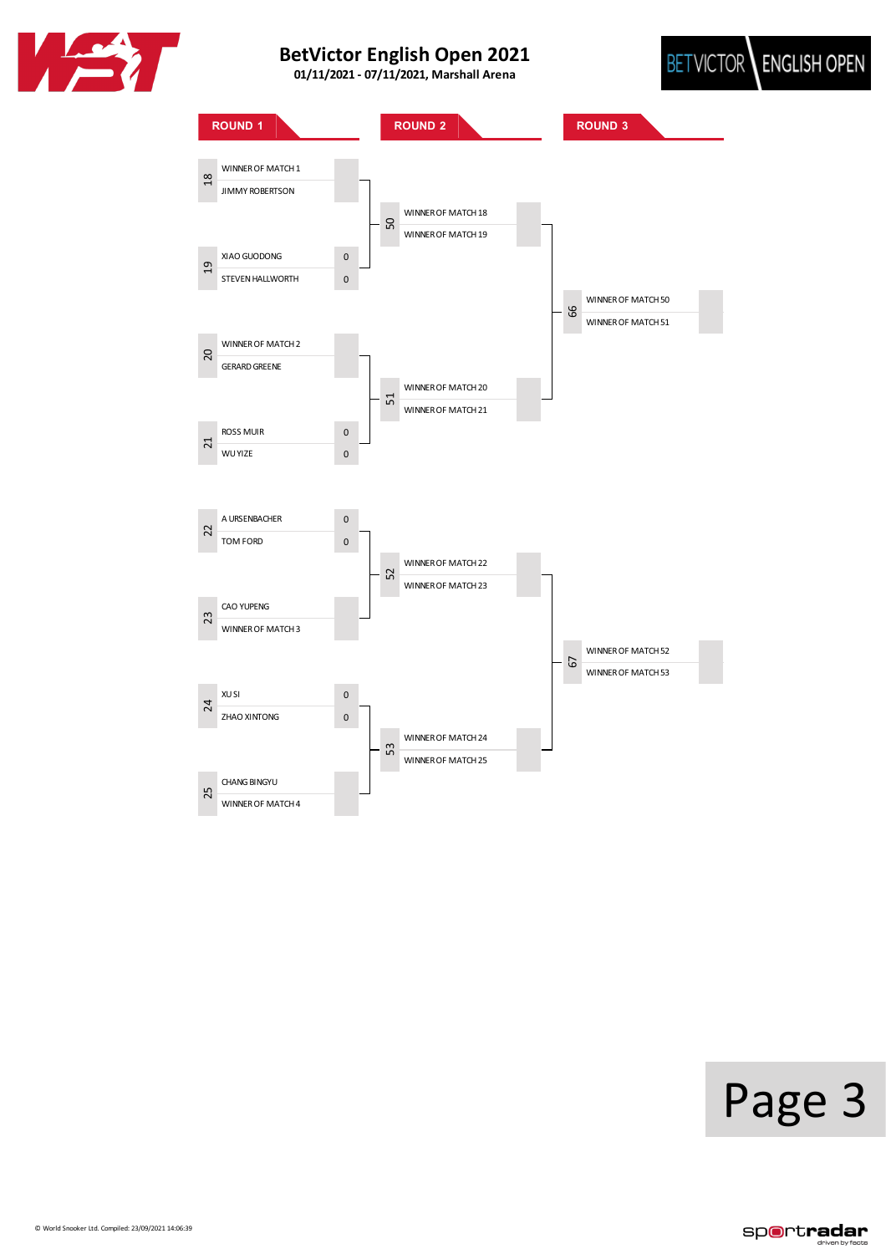





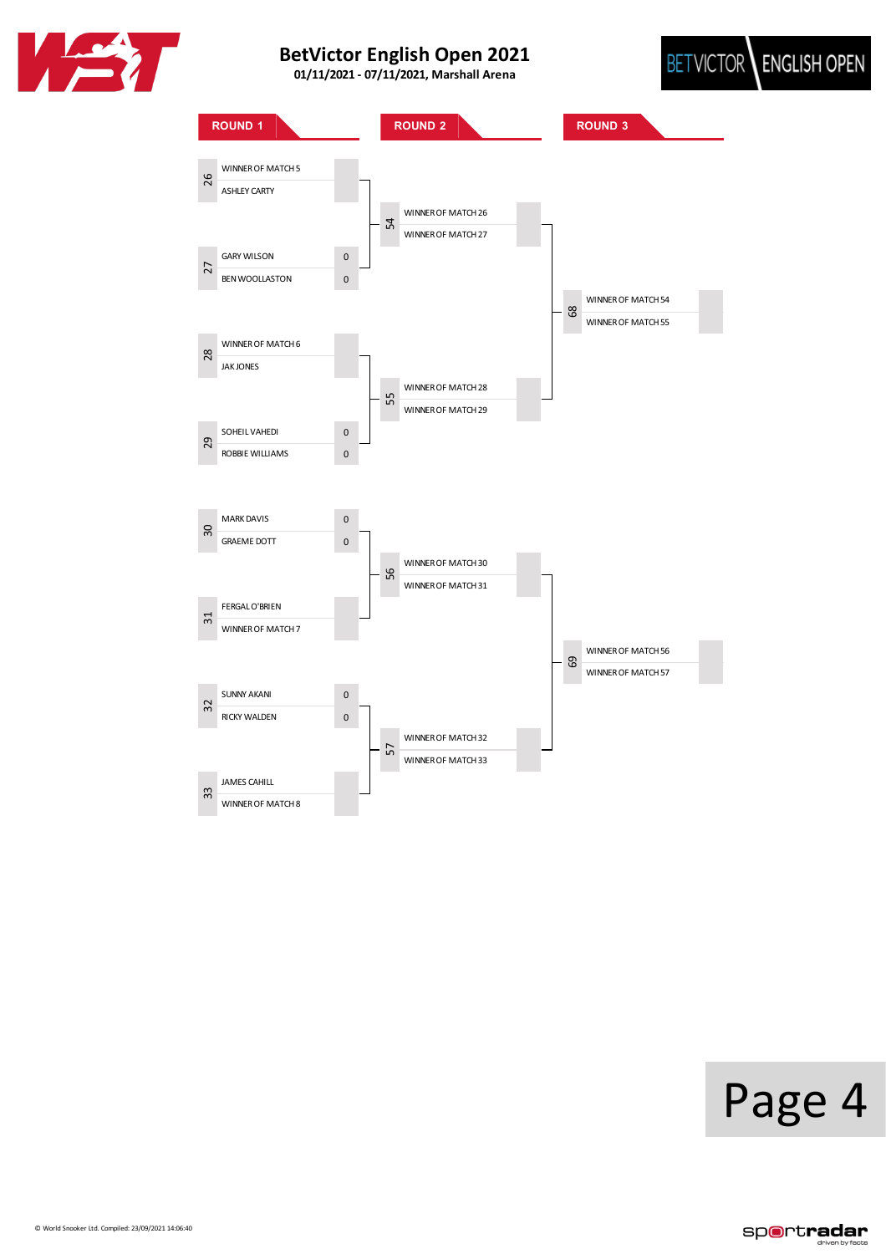





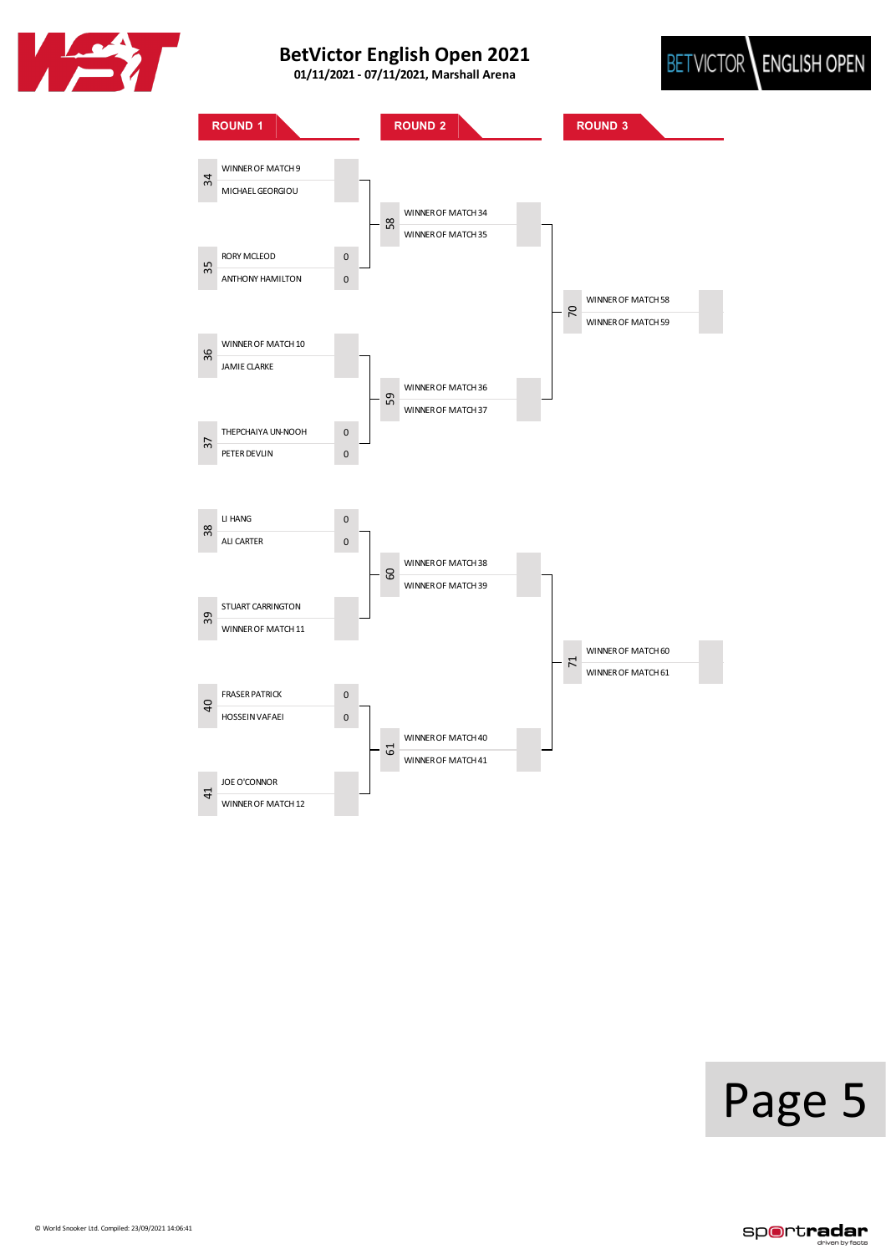





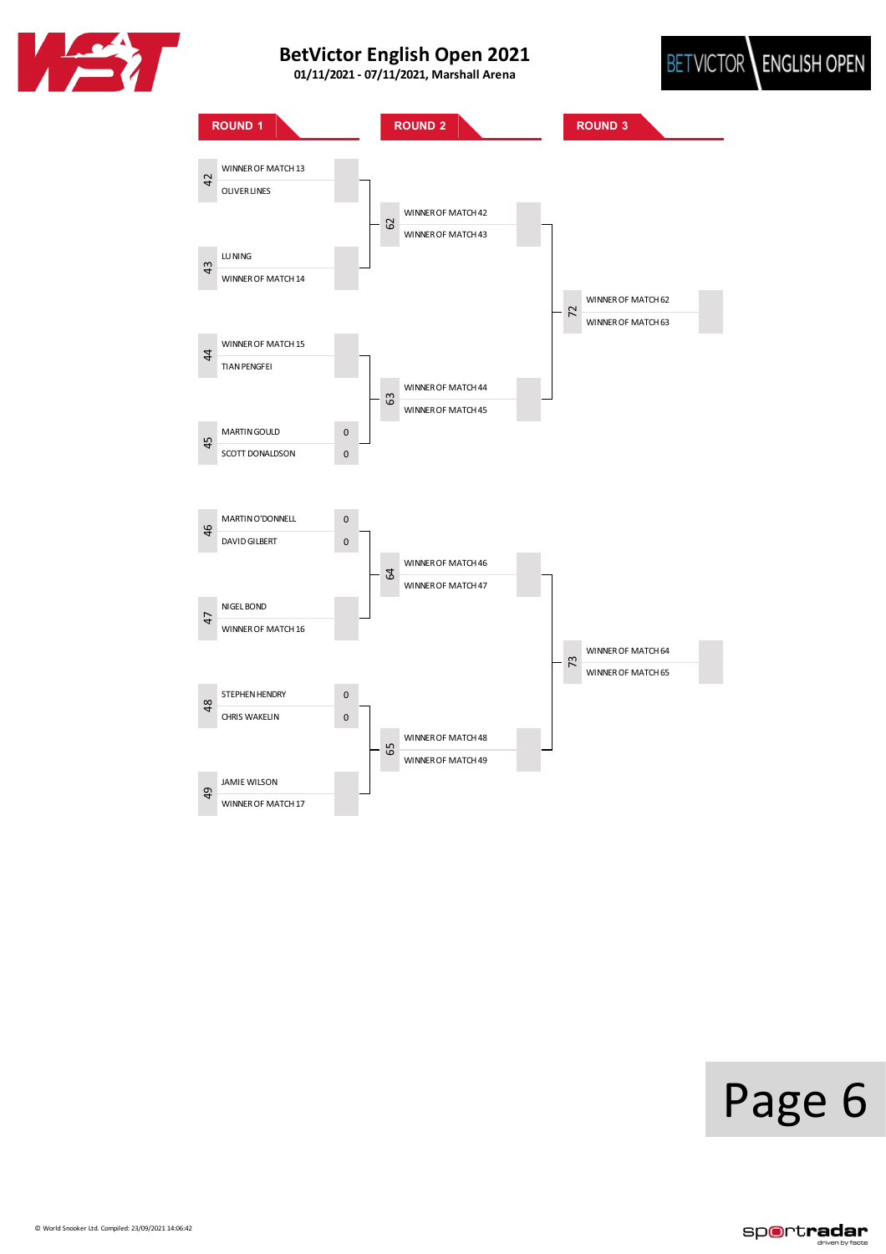